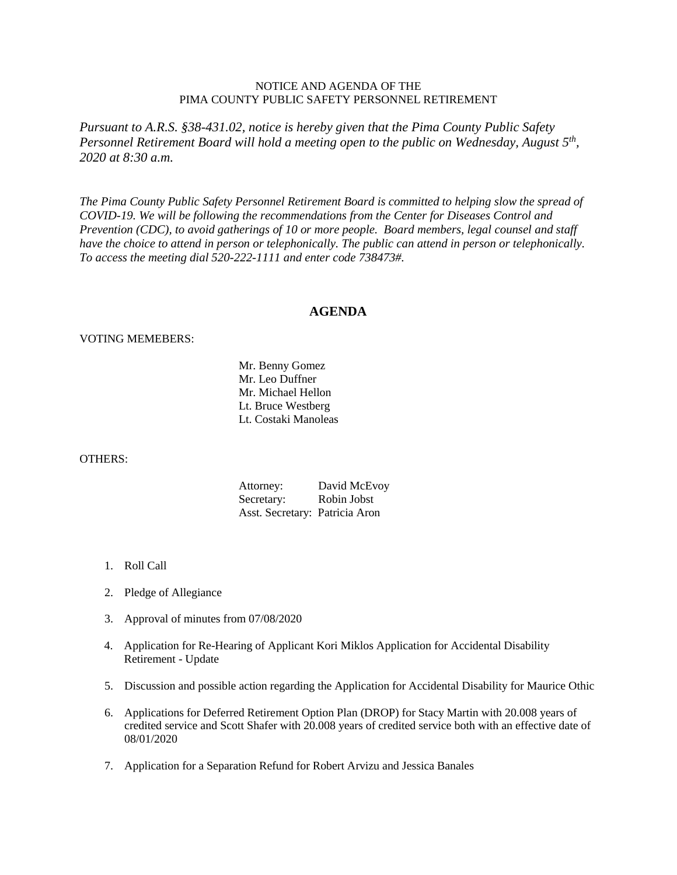## NOTICE AND AGENDA OF THE PIMA COUNTY PUBLIC SAFETY PERSONNEL RETIREMENT

*Pursuant to A.R.S. §38-431.02, notice is hereby given that the Pima County Public Safety Personnel Retirement Board will hold a meeting open to the public on Wednesday, August 5th, 2020 at 8:30 a.m.*

*The Pima County Public Safety Personnel Retirement Board is committed to helping slow the spread of COVID-19. We will be following the recommendations from the Center for Diseases Control and Prevention (CDC), to avoid gatherings of 10 or more people. Board members, legal counsel and staff have the choice to attend in person or telephonically. The public can attend in person or telephonically. To access the meeting dial 520-222-1111 and enter code 738473#.*

## **AGENDA**

## VOTING MEMEBERS:

Mr. Benny Gomez Mr. Leo Duffner Mr. Michael Hellon Lt. Bruce Westberg Lt. Costaki Manoleas

## OTHERS:

| Attorney:                      | David McEvoy |
|--------------------------------|--------------|
| Secretary:                     | Robin Jobst  |
| Asst. Secretary: Patricia Aron |              |

- 1. Roll Call
- 2. Pledge of Allegiance
- 3. Approval of minutes from 07/08/2020
- 4. Application for Re-Hearing of Applicant Kori Miklos Application for Accidental Disability Retirement - Update
- 5. Discussion and possible action regarding the Application for Accidental Disability for Maurice Othic
- 6. Applications for Deferred Retirement Option Plan (DROP) for Stacy Martin with 20.008 years of credited service and Scott Shafer with 20.008 years of credited service both with an effective date of 08/01/2020
- 7. Application for a Separation Refund for Robert Arvizu and Jessica Banales